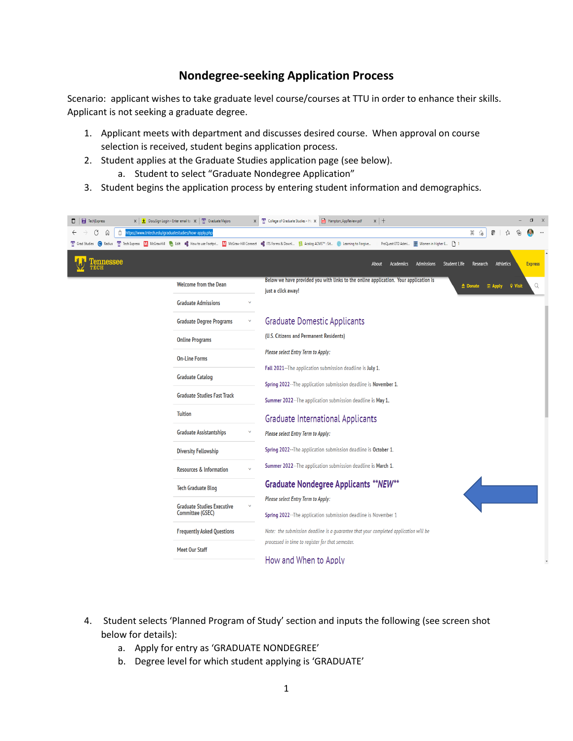## **Nondegree-seeking Application Process**

Scenario: applicant wishes to take graduate level course/courses at TTU in order to enhance their skills. Applicant is not seeking a graduate degree.

- 1. Applicant meets with department and discusses desired course. When approval on course selection is received, student begins application process.
- 2. Student applies at the Graduate Studies application page (see below).
	- a. Student to select "Graduate Nondegree Application"
- 3. Student begins the application process by entering student information and demographics.



- 4. Student selects 'Planned Program of Study' section and inputs the following (see screen shot below for details):
	- a. Apply for entry as 'GRADUATE NONDEGREE'
	- b. Degree level for which student applying is 'GRADUATE'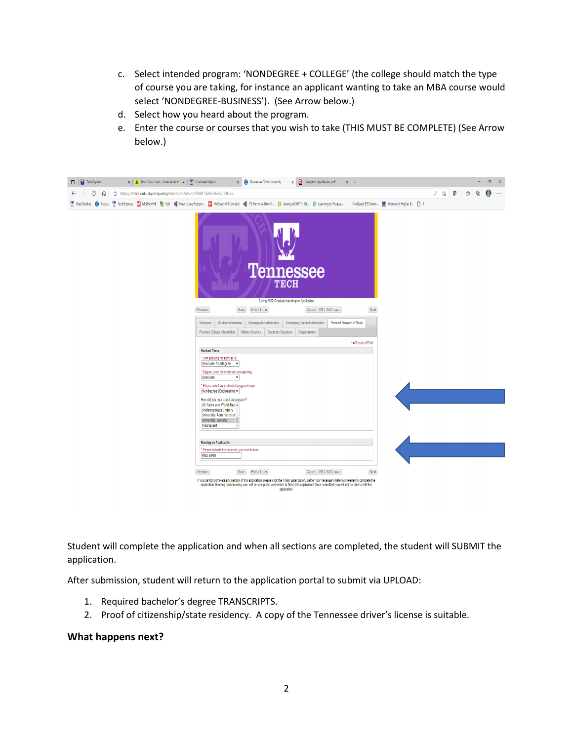- c. Select intended program: 'NONDEGREE + COLLEGE' (the college should match the type of course you are taking, for instance an applicant wanting to take an MBA course would select 'NONDEGREE-BUSINESS'). (See Arrow below.)
- d. Select how you heard about the program.
- e. Enter the course or courses that you wish to take (THIS MUST BE COMPLETE) (See Arrow below.)

| <b>Tech Express</b>       | $\mathbf{x}$   $\underline{\mathbf{v}}$ DocuSign Login - Enter email to $\ \mathbf{x}\ $ Graduate Majors                                                                       |                                                                                                                                                                                                                                                                                                                                                                                                                                       | X <b>O</b> Tennessee Tech University   |                                                                               | X Hampton AppReview.pdf         | $x$ +              |                                           |  |              | O<br>X        |
|---------------------------|--------------------------------------------------------------------------------------------------------------------------------------------------------------------------------|---------------------------------------------------------------------------------------------------------------------------------------------------------------------------------------------------------------------------------------------------------------------------------------------------------------------------------------------------------------------------------------------------------------------------------------|----------------------------------------|-------------------------------------------------------------------------------|---------------------------------|--------------------|-------------------------------------------|--|--------------|---------------|
| C<br>- 60<br>$\leftarrow$ | https://tntech.radiusbycampusmgmt.com/ssc/aform/I7IB8II70x6R0x670cd73F.ssc                                                                                                     |                                                                                                                                                                                                                                                                                                                                                                                                                                       |                                        |                                                                               |                                 |                    |                                           |  | $\mathbb{G}$ | 准<br>$\cdots$ |
|                           | T Grad Studies (C) Radius TV Tech Express M McGrawHill (C) Edit (C) How to use Footpri M McGraw-Hill Connect (C) ITS Forms & Down  M Acalog ACMS™: Sit (M) Learning to Forgive |                                                                                                                                                                                                                                                                                                                                                                                                                                       |                                        |                                                                               |                                 |                    | ProQuest ETD Admi   Women in Higher E   1 |  |              |               |
|                           |                                                                                                                                                                                | Previous                                                                                                                                                                                                                                                                                                                                                                                                                              | Save Finish Later                      | <b>Tennessee</b><br><b>TECH</b><br>Spring 2022 Graduate Nondegree Application | Cancel - WILL NOT save          | Next               |                                           |  |              |               |
|                           |                                                                                                                                                                                | Welcome!<br>Student Information                                                                                                                                                                                                                                                                                                                                                                                                       | Demographic Information                | <b>Emergency Contact Information</b>                                          | <b>Planned Program of Study</b> |                    |                                           |  |              |               |
|                           |                                                                                                                                                                                | Previous College Information                                                                                                                                                                                                                                                                                                                                                                                                          | Military Services Electronic Signature | Requirements                                                                  |                                 |                    |                                           |  |              |               |
|                           |                                                                                                                                                                                |                                                                                                                                                                                                                                                                                                                                                                                                                                       |                                        |                                                                               |                                 | * = Required Field |                                           |  |              |               |
|                           |                                                                                                                                                                                | <b>Student Plans</b>                                                                                                                                                                                                                                                                                                                                                                                                                  |                                        |                                                                               |                                 |                    |                                           |  |              |               |
|                           |                                                                                                                                                                                | * I am applying for entry as a:<br>Graduate Nondegree v<br>* Degree Level for which you are applying:<br>Graduate<br>$\check{~}$<br>* Please select your intended program/major.<br>Nondegree (Engineering v<br>How did you hear about our program?<br>US News and World Rep &<br>Undergraduate Inquiry<br>University Administrator<br><b>University Website</b><br><b>Yield Event</b><br>$\mathbf{v}$<br><b>Nondegree Applicants</b> |                                        |                                                                               |                                 |                    |                                           |  |              |               |
|                           |                                                                                                                                                                                | * Please indicate the course(s) you wish to take:                                                                                                                                                                                                                                                                                                                                                                                     |                                        |                                                                               |                                 |                    |                                           |  |              |               |
|                           |                                                                                                                                                                                | MBA 6990                                                                                                                                                                                                                                                                                                                                                                                                                              |                                        |                                                                               |                                 |                    |                                           |  |              |               |
|                           |                                                                                                                                                                                | Previous                                                                                                                                                                                                                                                                                                                                                                                                                              | Save Finish Later                      |                                                                               | Cancel - WILL NOT save          | Next               |                                           |  |              |               |
|                           |                                                                                                                                                                                | If you cannot complete any section of this application, please click the Finish Later option, gather your necessary materials needed to complete the<br>application, then log back in using your self-service portal credentials to finish this application! Once submitted, you will not be able to edit this                                                                                                                        |                                        | application.                                                                  |                                 |                    |                                           |  |              |               |

Student will complete the application and when all sections are completed, the student will SUBMIT the application.

After submission, student will return to the application portal to submit via UPLOAD:

- 1. Required bachelor's degree TRANSCRIPTS.
- 2. Proof of citizenship/state residency. A copy of the Tennessee driver's license is suitable.

## **What happens next?**